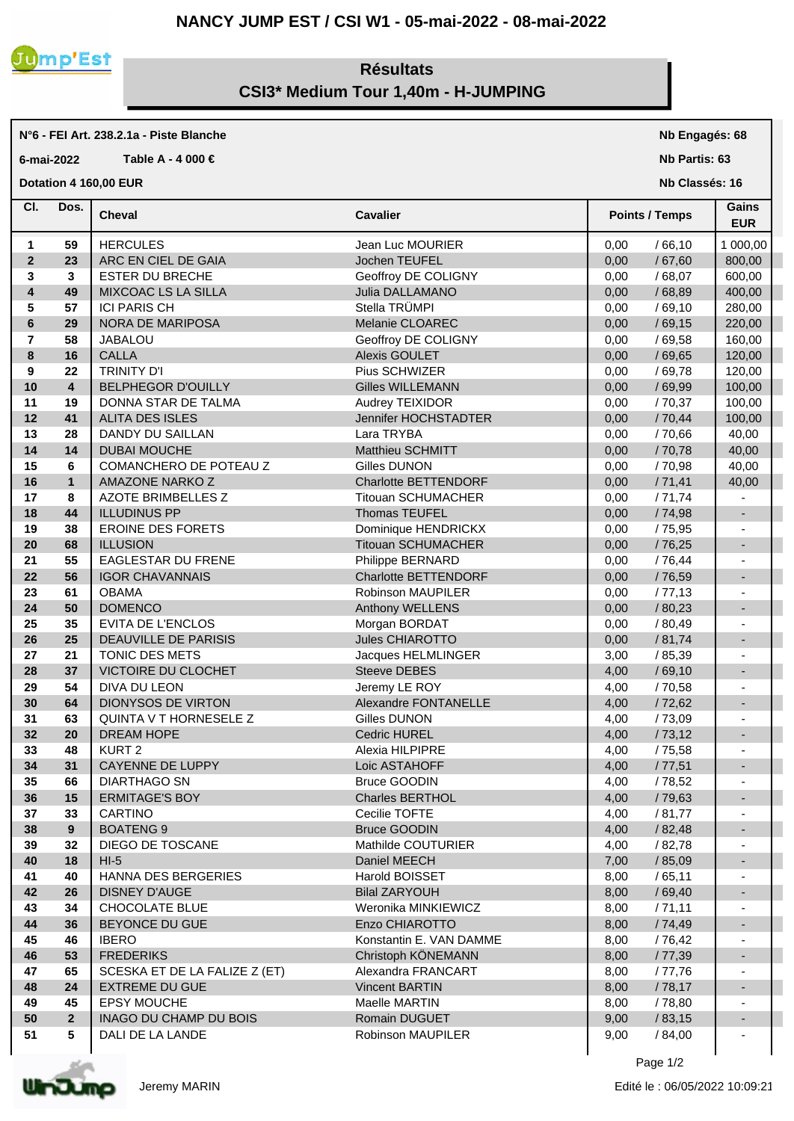## **NANCY JUMP EST / CSI W1 - 05-mai-2022 - 08-mai-2022**



**N°6 - FEI Art. 238.2.1a - Piste Blanche**

## **Résultats CSI3\* Medium Tour 1,40m - H-JUMPING**

## **Cheval Cavalier Cl. Nb Partis: 63 Nb Classés: 16 Gains 6-mai-2022 Table A - 4 000 € Points / Temps EUR Dotation 4 160,00 EUR**  Dos. Cheval **1 59** HERCULES Jean Luc MOURIER 0,00 / 66,10 1 000,00 **2 23** ARC EN CIEL DE GAIA **Jochen TEUFEL 10,00** / 67,60 800,00 **3 3** ESTER DU BRECHE Geoffroy DE COLIGNY **1000000** 68,07 600,00 **4 49** MIXCOAC LS LA SILLA Julia DALLAMANO **1.000 1.68,89** 400,00 **5 57** ICI PARIS CH Stella TRÜMPI / 69,10 280,00 I **6 29** NORA DE MARIPOSA Melanie CLOAREC 0,00 / 69,15 220,00 **7 58** JABALOU **1000 Geoffroy DE COLIGNY** 10,00 / 69,58 160,00 **8 16** CALLA Alexis GOULET 69,65 120,00 **9 22** TRINITY D'I Pius SCHWIZER / 69,78 120,00 **10 4** BELPHEGOR D'OUILLY Gilles WILLEMANN 0,00 / 69,99 100,00 **11 19** DONNA STAR DE TALMA Audrey TEIXIDOR / 70,37 100,00 **12 41** ALITA DES ISLES **Jennifer HOCHSTADTER** | 0,00 / 70,44 | 100,00 **13 28** DANDY DU SAILLAN Lara TRYBA 0,00 / 70,66 40,00 **14 14** DUBAI MOUCHE Matthieu SCHMITT 0,00 / 70,78 40,00 **15 6** COMANCHERO DE POTEAU Z Gilles DUNON **15 1** 0,00 / 70,98 40,00 **16 1** AMAZONE NARKO Z **Charlotte BETTENDORF** 0,00 / 71,41 40,00 **17 8** AZOTE BRIMBELLES Z **Titouan SCHUMACHER** 0,00 / 71,74 -**18 44** ILLUDINUS PP Thomas TEUFEL **19 38** EROINE DES FORETS Dominique HENDRICKX 0,00 / 75,95 - **20 68** ILLUSION **Titouan SCHUMACHER** 1 0,00 / 76,25 **21 55** EAGLESTAR DU FRENE Philippe BERNARD 0,00 / 76,44 - **22 56** IGOR CHAVANNAIS Charlotte BETTENDORF 0,00 / 76,59 **23 61** OBAMA Robinson MAUPILER 1 0,00 / 77,13 -**24 50** DOMENCO **Anthony WELLENS** 0,00 / 80,23 -**25 35** EVITA DE L'ENCLOS Morgan BORDAT 0,00 / 80,49 - **26 25** DEAUVILLE DE PARISIS Jules CHIAROTTO 0,00 / 81,74 - **27 21** TONIC DES METS Jacques HELMLINGER 3,00 / 85,39 - **28 37** VICTOIRE DU CLOCHET Steeve DEBES 4,00 / 69,10 - **29 54** DIVA DU LEON Jeremy LE ROY 4,00 / 70,58 - **30 64** DIONYSOS DE VIRTON Alexandre FONTANELLE 4.00 / 72.62 **31 63** AQUINTA V T HORNESELE Z Gilles DUNON -**32 20**  $\vert$  DREAM HOPE **Cedric HUREL Cedric HUREL 4,00** / 73,12 **|** -**33 48** ALEXIA HILPIPRE Alexia HILPIPRE Alexia HILPIPRE Alexia HILPIPRE Alexia Alexia Alexia Alexia Alexia Alexia A **34 31** CAYENNE DE LUPPY Loic ASTAHOFF 4,00 / 77,51 - **35 66** DIARTHAGO SN Bruce GOODIN 4,00 / 78,52 - **36 15** ERMITAGE'S BOY Charles BERTHOL 4,00 / 79,63 - **37 33** | CARTINO Cecilie TOFTE | 4,00 / 81,77 | - | **38 9** BOATENG 9 Bruce GOODIN 4,00 / 82,48 - **39 32** DIEGO DE TOSCANE Mathilde COUTURIER 4,00 / 82,78 - **40 18** HI-5 Daniel MEECH 7,00 / 85,09 - **41 40** HANNA DES BERGERIES Harold BOISSET 8,00 / 65,11 - **42 26** DISNEY D'AUGE Bilal ZARYOUH 8,00 / 69,40 - **43 34** CHOCOLATE BLUE Weronika MINKIEWICZ 8,00 / 71,11 - **44 36** BEYONCE DU GUE Enzo CHIAROTTO 8.00 / 74.49 -**45 46** IBERO Konstantin E. VAN DAMME 8,00 / 76,42 - **46 53 FREDERIKS Christoph KÖNEMANN 8,00 / 77,39 47 65** SCESKA ET DE LA FALIZE Z (ET) Alexandra FRANCART 8,00 / 77,76 **48 24**  $\vert$  EXTREME DU GUE Vincent BARTIN 8,00 / 78,17 **49 45** EPSY MOUCHE Maelle MARTIN 8,00 / 78,80 - **50 2** INAGO DU CHAMP DU BOIS Romain DUGUET 9,00 / 83,15 - **51 5** DALI DE LA LANDE Robinson MAUPILER 9,00 / 84,00 -



**Nb Engagés: 68**